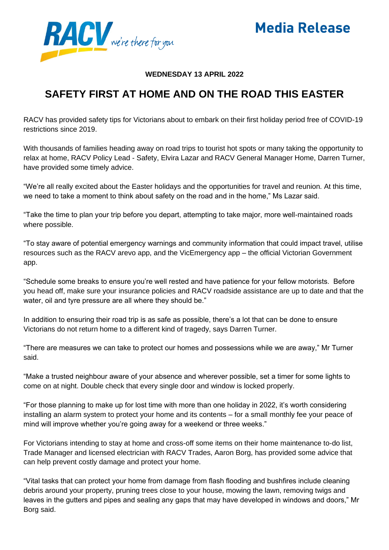

**Media Release** 

### **WEDNESDAY 13 APRIL 2022**

# **SAFETY FIRST AT HOME AND ON THE ROAD THIS EASTER**

RACV has provided safety tips for Victorians about to embark on their first holiday period free of COVID-19 restrictions since 2019.

With thousands of families heading away on road trips to tourist hot spots or many taking the opportunity to relax at home, RACV Policy Lead - Safety, Elvira Lazar and RACV General Manager Home, Darren Turner, have provided some timely advice.

"We're all really excited about the Easter holidays and the opportunities for travel and reunion. At this time, we need to take a moment to think about safety on the road and in the home," Ms Lazar said.

"Take the time to plan your trip before you depart, attempting to take major, more well-maintained roads where possible.

"To stay aware of potential emergency warnings and community information that could impact travel, utilise resources such as the RACV arevo app, and the VicEmergency app – the official Victorian Government app.

"Schedule some breaks to ensure you're well rested and have patience for your fellow motorists. Before you head off, make sure your insurance policies and RACV roadside assistance are up to date and that the water, oil and tyre pressure are all where they should be."

In addition to ensuring their road trip is as safe as possible, there's a lot that can be done to ensure Victorians do not return home to a different kind of tragedy, says Darren Turner.

"There are measures we can take to protect our homes and possessions while we are away," Mr Turner said.

"Make a trusted neighbour aware of your absence and wherever possible, set a timer for some lights to come on at night. Double check that every single door and window is locked properly.

"For those planning to make up for lost time with more than one holiday in 2022, it's worth considering installing an alarm system to protect your home and its contents – for a small monthly fee your peace of mind will improve whether you're going away for a weekend or three weeks."

For Victorians intending to stay at home and cross-off some items on their home maintenance to-do list, Trade Manager and licensed electrician with RACV Trades, Aaron Borg, has provided some advice that can help prevent costly damage and protect your home.

"Vital tasks that can protect your home from damage from flash flooding and bushfires include cleaning debris around your property, pruning trees close to your house, mowing the lawn, removing twigs and leaves in the gutters and pipes and sealing any gaps that may have developed in windows and doors," Mr Borg said.